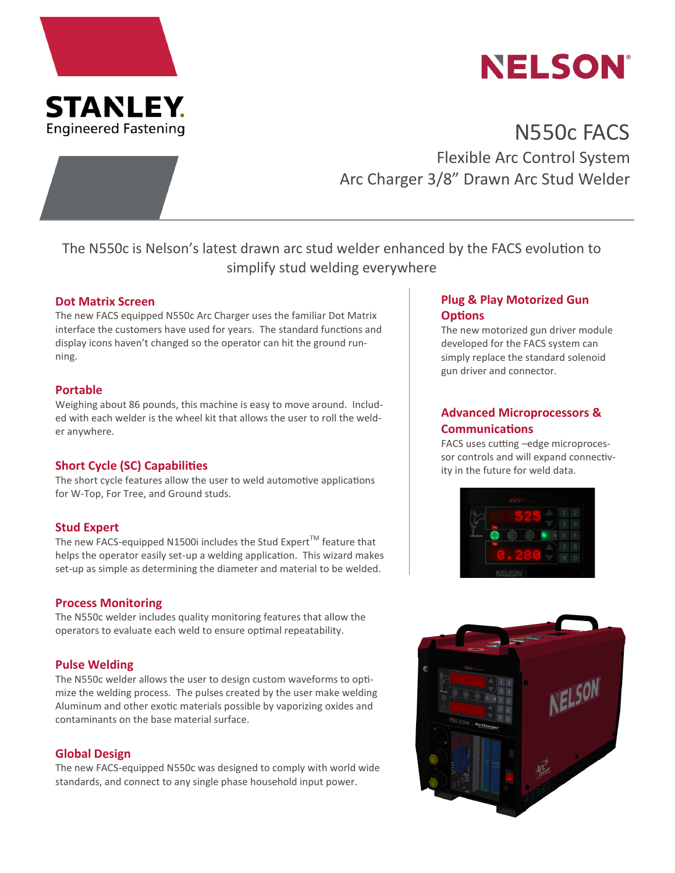



# N550c FACS Flexible Arc Control System Arc Charger 3/8" Drawn Arc Stud Welder

The N550c is Nelson's latest drawn arc stud welder enhanced by the FACS evolution to simplify stud welding everywhere

#### **Dot Matrix Screen**

The new FACS equipped N550c Arc Charger uses the familiar Dot Matrix interface the customers have used for years. The standard functions and display icons haven't changed so the operator can hit the ground running.

#### **Portable**

Weighing about 86 pounds, this machine is easy to move around. Included with each welder is the wheel kit that allows the user to roll the welder anywhere.

## **Short Cycle (SC) Capabilities**

The short cycle features allow the user to weld automotive applications for W-Top, For Tree, and Ground studs.

## **Stud Expert**

The new FACS-equipped N1500i includes the Stud Expert<sup>TM</sup> feature that helps the operator easily set-up a welding application. This wizard makes set-up as simple as determining the diameter and material to be welded.

#### **Process Monitoring**

The N550c welder includes quality monitoring features that allow the operators to evaluate each weld to ensure optimal repeatability.

## **Pulse Welding**

The N550c welder allows the user to design custom waveforms to optimize the welding process. The pulses created by the user make welding Aluminum and other exotic materials possible by vaporizing oxides and contaminants on the base material surface.

#### **Global Design**

The new FACS-equipped N550c was designed to comply with world wide standards, and connect to any single phase household input power.

## **Plug & Play Motorized Gun Options**

The new motorized gun driver module developed for the FACS system can simply replace the standard solenoid gun driver and connector.

# **Advanced Microprocessors & Communications**

FACS uses cutting –edge microprocessor controls and will expand connectivity in the future for weld data.